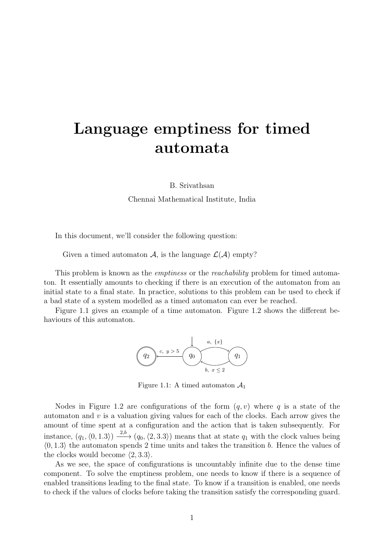# Language emptiness for timed automata

B. Srivathsan

Chennai Mathematical Institute, India

In this document, we'll consider the following question:

Given a timed automaton A, is the language  $\mathcal{L}(\mathcal{A})$  empty?

This problem is known as the *emptiness* or the *reachability* problem for timed automaton. It essentially amounts to checking if there is an execution of the automaton from an initial state to a final state. In practice, solutions to this problem can be used to check if a bad state of a system modelled as a timed automaton can ever be reached.

<span id="page-0-0"></span>Figure [1.1](#page-0-0) gives an example of a time automaton. Figure [1.2](#page-1-0) shows the different behaviours of this automaton.



Figure 1.1: A timed automaton  $\mathcal{A}_1$ 

Nodes in Figure [1.2](#page-1-0) are configurations of the form  $(q, v)$  where q is a state of the automaton and  $v$  is a valuation giving values for each of the clocks. Each arrow gives the amount of time spent at a configuration and the action that is taken subsequently. For instance,  $(q_1, \langle 0, 1.3 \rangle) \xrightarrow{2,b} (q_0, \langle 2, 3.3 \rangle)$  means that at state  $q_1$  with the clock values being  $\langle 0, 1.3 \rangle$  the automaton spends 2 time units and takes the transition b. Hence the values of the clocks would become  $\langle 2, 3.3 \rangle$ .

As we see, the space of configurations is uncountably infinite due to the dense time component. To solve the emptiness problem, one needs to know if there is a sequence of enabled transitions leading to the final state. To know if a transition is enabled, one needs to check if the values of clocks before taking the transition satisfy the corresponding guard.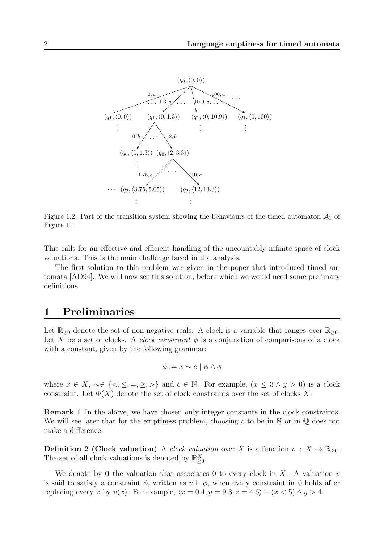<span id="page-1-0"></span>

Figure 1.2: Part of the transition system showing the behaviours of the timed automaton  $A_1$  of Figure [1.1](#page-0-0)

This calls for an effective and efficient handling of the uncountably infinite space of clock valuations. This is the main challenge faced in the analysis.

The first solution to this problem was given in the paper that introduced timed automata [\[AD94\]](#page-8-0). We will now see this solution, before which we would need some prelimary definitions.

## 1 Preliminaries

Let  $\mathbb{R}_{\geq 0}$  denote the set of non-negative reals. A clock is a variable that ranges over  $\mathbb{R}_{\geq 0}$ . Let X be a set of clocks. A *clock constraint*  $\phi$  is a conjunction of comparisons of a clock with a constant, given by the following grammar:

$$
\phi := x \sim c \mid \phi \land \phi
$$

where  $x \in X$ ,  $\sim \in \{ \leq, \leq, =, \geq, \geq \}$  and  $c \in \mathbb{N}$ . For example,  $(x \leq 3 \land y > 0)$  is a clock constraint. Let  $\Phi(X)$  denote the set of clock constraints over the set of clocks X.

Remark 1 In the above, we have chosen only integer constants in the clock constraints. We will see later that for the emptiness problem, choosing c to be in  $\mathbb N$  or in  $\mathbb Q$  does not make a difference.

**Definition 2 (Clock valuation)** A clock valuation over X is a function  $v: X \to \mathbb{R}_{\geq 0}$ . The set of all clock valuations is denoted by  $\mathbb{R}^X_{\geq 0}$ .

We denote by 0 the valuation that associates 0 to every clock in X. A valuation  $v$ is said to satisfy a constraint  $\phi$ , written as  $v \vDash \phi$ , when every constraint in  $\phi$  holds after replacing every x by  $v(x)$ . For example,  $\langle x = 0.4, y = 9.3, z = 4.6 \rangle \models (x < 5) \land y > 4$ .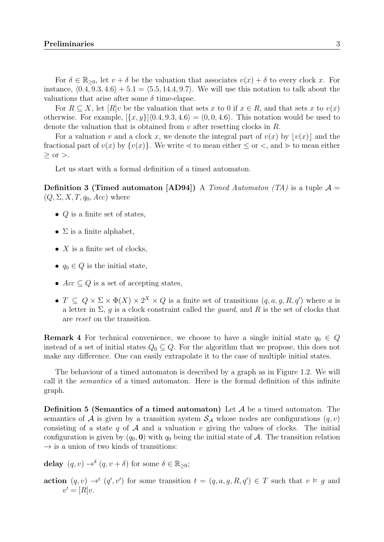For  $\delta \in \mathbb{R}_{\geq 0}$ , let  $v + \delta$  be the valuation that associates  $v(x) + \delta$  to every clock x. For instance,  $(0.4, 9.3, 4.6) + 5.1 = (5.5, 14.4, 9.7)$ . We will use this notation to talk about the valuations that arise after some  $\delta$  time-elapse.

For  $R \subseteq X$ , let  $[R]v$  be the valuation that sets x to 0 if  $x \in R$ , and that sets x to  $v(x)$ otherwise. For example,  $\{x, y\}|\langle 0.4, 9.3, 4.6\rangle = \langle 0, 0, 4.6\rangle$ . This notation would be used to denote the valuation that is obtained from  $v$  after resetting clocks in  $R$ .

For a valuation v and a clock x, we denote the integral part of  $v(x)$  by  $|v(x)|$  and the fractional part of  $v(x)$  by  $\{v(x)\}\$ . We write  $\leq$  to mean either  $\leq$  or  $\lt$ , and  $\gt$  to mean either  $>$  or  $>$ .

Let us start with a formal definition of a timed automaton.

**Definition 3 (Timed automaton [\[AD94\]](#page-8-0))** A Timed Automaton (TA) is a tuple  $\mathcal{A} =$  $(Q, \Sigma, X, T, q_0, Acc)$  where

- $Q$  is a finite set of states,
- $\Sigma$  is a finite alphabet,
- $X$  is a finite set of clocks,
- $q_0 \in Q$  is the initial state,
- $Acc \subset Q$  is a set of accepting states,
- $T \subseteq Q \times \Sigma \times \Phi(X) \times 2^X \times Q$  is a finite set of transitions  $(q, a, g, R, q')$  where a is a letter in  $\Sigma$ , g is a clock constraint called the *guard*, and R is the set of clocks that are reset on the transition.

**Remark 4** For technical convenience, we choose to have a single initial state  $q_0 \in Q$ instead of a set of initial states  $Q_0 \subseteq Q$ . For the algorithm that we propose, this does not make any difference. One can easily extrapolate it to the case of multiple initial states.

The behaviour of a timed automaton is described by a graph as in Figure [1.2.](#page-1-0) We will call it the semantics of a timed automaton. Here is the formal definition of this infinite graph.

**Definition 5 (Semantics of a timed automaton)** Let  $A$  be a timed automaton. The semantics of A is given by a transition system  $S_A$  whose nodes are configurations  $(q, v)$ consisting of a state q of  $A$  and a valuation v giving the values of clocks. The initial configuration is given by  $(q_0, 0)$  with  $q_0$  being the initial state of A. The transition relation  $\rightarrow$  is a union of two kinds of transitions:

delay  $(q, v) \rightarrow^{\delta} (q, v + \delta)$  for some  $\delta \in \mathbb{R}_{\geq 0}$ ;

action  $(q, v) \rightarrow^t (q', v')$  for some transition  $t = (q, a, g, R, q') \in T$  such that  $v \models g$  and  $v' = [R]v.$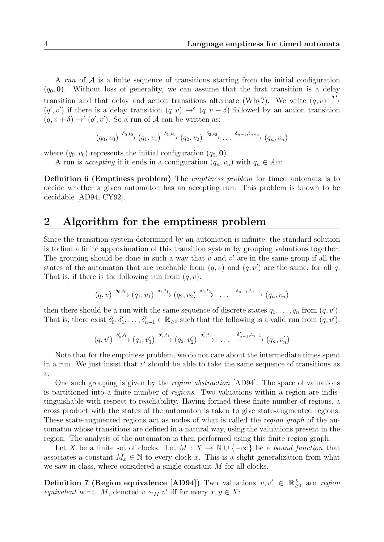A run of  $\mathcal A$  is a finite sequence of transitions starting from the initial configuration  $(q_0, 0)$ . Without loss of generality, we can assume that the first transition is a delay transition and that delay and action transitions alternate (Why?). We write  $(q, v) \xrightarrow{\delta, t}$  $(q', v')$  if there is a delay transition  $(q, v) \rightarrow^{\delta} (q, v + \delta)$  followed by an action transition  $(q, v + \delta) \rightarrow^{t} (q', v')$ . So a run of A can be written as:

$$
(q_0, v_0) \xrightarrow{\delta_0, t_0} (q_1, v_1) \xrightarrow{\delta_1, t_1} (q_2, v_2) \xrightarrow{\delta_2, t_2} \dots \xrightarrow{\delta_{n-1}, t_{n-1}} (q_n, v_n)
$$

where  $(q_0, v_0)$  represents the initial configuration  $(q_0, 0)$ .

A run is accepting if it ends in a configuration  $(q_n, v_n)$  with  $q_n \in Acc$ .

Definition 6 (Emptiness problem) The emptiness problem for timed automata is to decide whether a given automaton has an accepting run. This problem is known to be decidable [\[AD94,](#page-8-0) [CY92\]](#page-8-1).

### 2 Algorithm for the emptiness problem

Since the transition system determined by an automaton is infinite, the standard solution is to find a finite approximation of this transition system by grouping valuations together. The grouping should be done in such a way that  $v$  and  $v'$  are in the same group if all the states of the automaton that are reachable from  $(q, v)$  and  $(q, v')$  are the same, for all q. That is, if there is the following run from  $(q, v)$ :

$$
(q, v) \xrightarrow{\delta_0, t_0} (q_1, v_1) \xrightarrow{\delta_1, t_1} (q_2, v_2) \xrightarrow{\delta_2, t_2} \dots \xrightarrow{\delta_{n-1}, t_{n-1}} (q_n, v_n)
$$

then there should be a run with the same sequence of discrete states  $q_1, \ldots, q_n$  from  $(q, v')$ . That is, there exist  $\delta'_0, \delta'_1, \ldots, \delta'_{n-1} \in \mathbb{R}_{\geq 0}$  such that the following is a valid run from  $(q, v')$ :

$$
(q, v') \xrightarrow{\delta'_0, t_0} (q_1, v'_1) \xrightarrow{\delta'_1, t_1} (q_2, v'_2) \xrightarrow{\delta'_2, t_2} \ \dots \xrightarrow{\delta'_{n-1}, t_{n-1}} (q_n, v'_n)
$$

Note that for the emptiness problem, we do not care about the intermediate times spent in a run. We just insist that  $v'$  should be able to take the same sequence of transitions as  $\upsilon$ .

One such grouping is given by the region abstraction [\[AD94\]](#page-8-0). The space of valuations is partitioned into a finite number of regions. Two valuations within a region are indistinguishable with respect to reachability. Having formed these finite number of regions, a cross product with the states of the automaton is taken to give state-augmented regions. These state-augmented regions act as nodes of what is called the *region graph* of the automaton whose transitions are defined in a natural way, using the valuations present in the region. The analysis of the automaton is then performed using this finite region graph.

Let X be a finite set of clocks. Let  $M : X \mapsto \mathbb{N} \cup \{-\infty\}$  be a bound function that associates a constant  $M_x \in \mathbb{N}$  to every clock x. This is a slight generalization from what we saw in class, where considered a single constant M for all clocks.

**Definition 7 (Region equivalence [\[AD94\]](#page-8-0))** Two valuations  $v, v' \in \mathbb{R}^X_{\geq 0}$  are region equivalent w.r.t. M, denoted  $v \sim_M v'$  iff for every  $x, y \in X$ :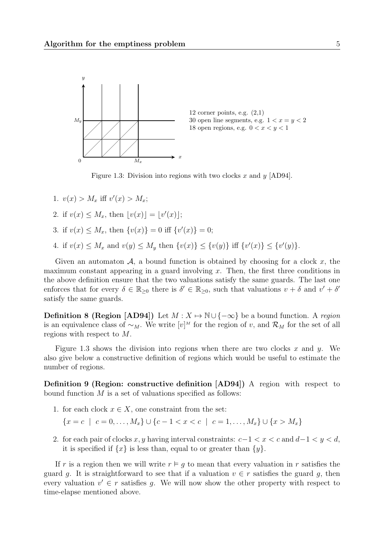<span id="page-4-0"></span>

Figure 1.3: Division into regions with two clocks x and y [\[AD94\]](#page-8-0).

- 1.  $v(x) > M_x$  iff  $v'(x) > M_x$ ;
- 2. if  $v(x) \leq M_x$ , then  $\lfloor v(x) \rfloor = \lfloor v'(x) \rfloor$ ;
- 3. if  $v(x) \leq M_x$ , then  $\{v(x)\}=0$  iff  $\{v'(x)\}=0$ ;
- 4. if  $v(x) \leq M_x$  and  $v(y) \leq M_y$  then  $\{v(x)\} \leq \{v(y)\}$  iff  $\{v'(x)\} \leq \{v'(y)\}.$

Given an automaton  $A$ , a bound function is obtained by choosing for a clock x, the maximum constant appearing in a guard involving  $x$ . Then, the first three conditions in the above definition ensure that the two valuations satisfy the same guards. The last one enforces that for every  $\delta \in \mathbb{R}_{\geq 0}$  there is  $\delta' \in \mathbb{R}_{\geq 0}$ , such that valuations  $v + \delta$  and  $v' + \delta'$ satisfy the same guards.

**Definition 8 (Region [\[AD94\]](#page-8-0))** Let  $M : X \to \mathbb{N} \cup \{-\infty\}$  be a bound function. A region is an equivalence class of  $\sim_M$ . We write  $[v]^M$  for the region of v, and  $\mathcal{R}_M$  for the set of all regions with respect to M.

Figure [1.3](#page-4-0) shows the division into regions when there are two clocks x and y. We also give below a constructive definition of regions which would be useful to estimate the number of regions.

Definition 9 (Region: constructive definition [\[AD94\]](#page-8-0)) A region with respect to bound function  $M$  is a set of valuations specified as follows:

1. for each clock  $x \in X$ , one constraint from the set:

 ${x = c \mid c = 0, \ldots, M_x} \cup {c - 1 < x < c \mid c = 1, \ldots, M_x} \cup {x > M_x}$ 

2. for each pair of clocks x, y having interval constraints:  $c-1 < x < c$  and  $d-1 < y < d$ , it is specified if  $\{x\}$  is less than, equal to or greater than  $\{y\}$ .

<span id="page-4-1"></span>If r is a region then we will write  $r \vDash g$  to mean that every valuation in r satisfies the guard g. It is straightforward to see that if a valuation  $v \in r$  satisfies the guard g, then every valuation  $v' \in r$  satisfies g. We will now show the other property with respect to time-elapse mentioned above.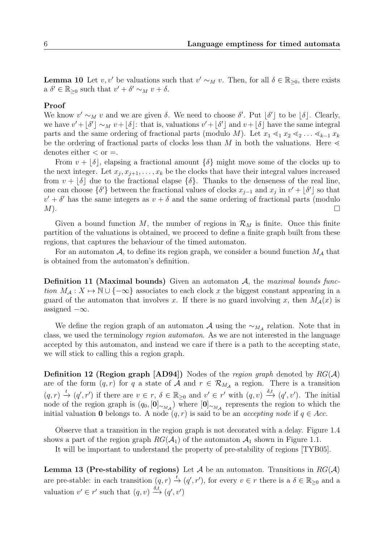**Lemma 10** Let v, v' be valuations such that  $v' \sim_M v$ . Then, for all  $\delta \in \mathbb{R}_{\geq 0}$ , there exists a  $\delta' \in \mathbb{R}_{\geq 0}$  such that  $v' + \delta' \sim_M v + \delta$ .

### Proof

We know  $v' \sim_M v$  and we are given  $\delta$ . We need to choose  $\delta'$ . Put  $\delta'$  to be  $\delta$ . Clearly, we have  $v' + \lfloor \delta' \rfloor \sim_M v + \lfloor \delta \rfloor$ : that is, valuations  $v' + \lfloor \delta' \rfloor$  and  $v + \lfloor \delta \rfloor$  have the same integral parts and the same ordering of fractional parts (modulo M). Let  $x_1 \leq_1 x_2 \leq_2 \ldots \leq_{k-1} x_k$ be the ordering of fractional parts of clocks less than M in both the valuations. Here  $\leq$ denotes either  $\langle$  or  $=$ .

From  $v + |\delta|$ , elapsing a fractional amount  $\{\delta\}$  might move some of the clocks up to the next integer. Let  $x_j, x_{j+1}, \ldots, x_k$  be the clocks that have their integral values increased from  $v + \lfloor \delta \rfloor$  due to the fractional elapse  $\{\delta\}$ . Thanks to the denseness of the real line, one can choose  $\{\delta'\}$  between the fractional values of clocks  $x_{j-1}$  and  $x_j$  in  $v' + \lfloor \delta' \rfloor$  so that  $v' + \delta'$  has the same integers as  $v + \delta$  and the same ordering of fractional parts (modulo  $M$ ).

Given a bound function M, the number of regions in  $\mathcal{R}_M$  is finite. Once this finite partition of the valuations is obtained, we proceed to define a finite graph built from these regions, that captures the behaviour of the timed automaton.

For an automaton A, to define its region graph, we consider a bound function  $M_A$  that is obtained from the automaton's definition.

**Definition 11 (Maximal bounds)** Given an automaton  $A$ , the maximal bounds function  $M_A: X \mapsto \mathbb{N} \cup \{-\infty\}$  associates to each clock x the biggest constant appearing in a guard of the automaton that involves x. If there is no guard involving x, then  $M_{\mathcal{A}}(x)$  is assigned  $-\infty$ .

We define the region graph of an automaton  $A$  using the  $\sim_{M_A}$  relation. Note that in class, we used the terminology region automaton. As we are not interested in the language accepted by this automaton, and instead we care if there is a path to the accepting state, we will stick to calling this a region graph.

**Definition 12 (Region graph [\[AD94\]](#page-8-0))** Nodes of the region graph denoted by  $RG(A)$ are of the form  $(q, r)$  for q a state of A and  $r \in \mathcal{R}_{M_A}$  a region. There is a transition  $(q, r) \stackrel{t}{\to} (q', r')$  if there are  $v \in r$ ,  $\delta \in \mathbb{R}_{\geq 0}$  and  $v' \in r'$  with  $(q, v) \stackrel{\delta, t}{\to} (q', v')$ . The initial node of the region graph is  $(q_0, [\mathbf{0}]_{\sim_{M_{\mathcal{A}}}})$  where  $[\mathbf{0}]_{\sim_{M_{\mathcal{A}}}}$  represents the region to which the initial valuation 0 belongs to. A node  $(q, r)$  is said to be an *accepting node* if  $q \in Acc$ .

Observe that a transition in the region graph is not decorated with a delay. Figure [1.4](#page-6-0) shows a part of the region graph  $RG(\mathcal{A}_1)$  of the automaton  $\mathcal{A}_1$  shown in Figure [1.1.](#page-0-0)

It will be important to understand the property of pre-stability of regions [\[TYB05\]](#page-8-2).

**Lemma 13 (Pre-stability of regions)** Let A be an automaton. Transitions in  $RG(A)$ are pre-stable: in each transition  $(q, r) \stackrel{t}{\to} (q', r')$ , for every  $v \in r$  there is a  $\delta \in \mathbb{R}_{\geq 0}$  and a valuation  $v' \in r'$  such that  $(q, v) \stackrel{\delta, t}{\longrightarrow} (q', v')$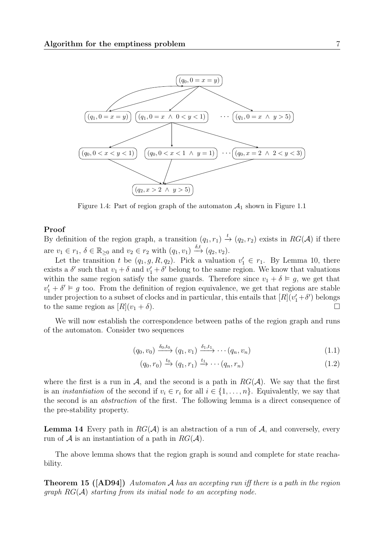<span id="page-6-0"></span>

Figure 1.4: Part of region graph of the automaton  $A_1$  shown in Figure [1.1](#page-0-0)

#### Proof

By definition of the region graph, a transition  $(q_1, r_1) \stackrel{t}{\rightarrow} (q_2, r_2)$  exists in  $RG(\mathcal{A})$  if there are  $v_1 \in r_1$ ,  $\delta \in \mathbb{R}_{\geq 0}$  and  $v_2 \in r_2$  with  $(q_1, v_1) \stackrel{\delta,t}{\rightarrow} (q_2, v_2)$ .

Let the transition t be  $(q_1, g, R, q_2)$ . Pick a valuation  $v'_1 \in r_1$ . By Lemma [10,](#page-4-1) there exists a  $\delta'$  such that  $v_1 + \delta$  and  $v'_1 + \delta'$  belong to the same region. We know that valuations within the same region satisfy the same guards. Therefore since  $v_1 + \delta \vDash g$ , we get that  $v'_1 + \delta' \vDash g$  too. From the definition of region equivalence, we get that regions are stable under projection to a subset of clocks and in particular, this entails that  $[R](v'_1 + \delta')$  belongs to the same region as  $[R](v_1 + \delta)$ .

We will now establish the correspondence between paths of the region graph and runs of the automaton. Consider two sequences

$$
(q_0, v_0) \xrightarrow{\delta_0, t_0} (q_1, v_1) \xrightarrow{\delta_1, t_1} \cdots (q_n, v_n)
$$
\n
$$
(1.1)
$$

$$
(q_0, r_0) \xrightarrow{t_0} (q_1, r_1) \xrightarrow{t_1} \cdots (q_n, r_n)
$$
\n
$$
(1.2)
$$

where the first is a run in  $\mathcal A$ , and the second is a path in  $RG(\mathcal A)$ . We say that the first is an *instantiation* of the second if  $v_i \in r_i$  for all  $i \in \{1, ..., n\}$ . Equivalently, we say that the second is an abstraction of the first. The following lemma is a direct consequence of the pre-stability property.

**Lemma 14** Every path in  $RG(\mathcal{A})$  is an abstraction of a run of  $\mathcal{A}$ , and conversely, every run of A is an instantiation of a path in  $RG(A)$ .

The above lemma shows that the region graph is sound and complete for state reachability.

**Theorem 15 ([\[AD94\]](#page-8-0))** Automaton A has an accepting run iff there is a path in the region graph  $RG(A)$  starting from its initial node to an accepting node.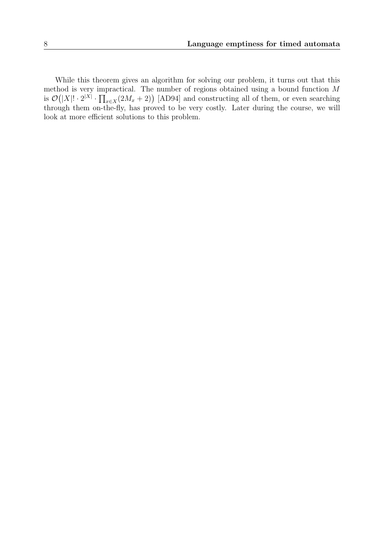While this theorem gives an algorithm for solving our problem, it turns out that this method is very impractical. The number of regions obtained using a bound function M is  $\mathcal{O}(|X|! \cdot 2^{|X|} \cdot \prod_{x \in X} (2M_x + 2))$  [\[AD94\]](#page-8-0) and constructing all of them, or even searching through them on-the-fly, has proved to be very costly. Later during the course, we will look at more efficient solutions to this problem.